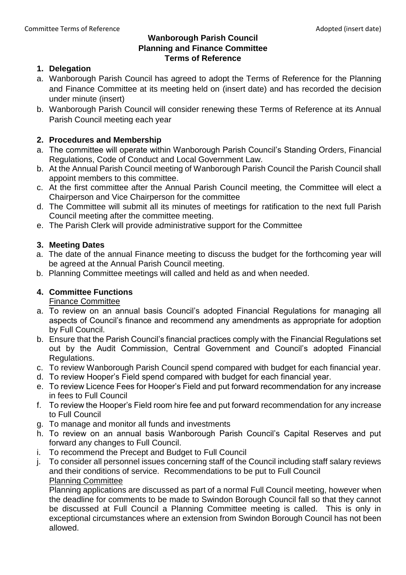#### **Wanborough Parish Council Planning and Finance Committee Terms of Reference**

# **1. Delegation**

- a. Wanborough Parish Council has agreed to adopt the Terms of Reference for the Planning and Finance Committee at its meeting held on (insert date) and has recorded the decision under minute (insert)
- b. Wanborough Parish Council will consider renewing these Terms of Reference at its Annual Parish Council meeting each year

# **2. Procedures and Membership**

- a. The committee will operate within Wanborough Parish Council's Standing Orders, Financial Regulations, Code of Conduct and Local Government Law.
- b. At the Annual Parish Council meeting of Wanborough Parish Council the Parish Council shall appoint members to this committee.
- c. At the first committee after the Annual Parish Council meeting, the Committee will elect a Chairperson and Vice Chairperson for the committee
- d. The Committee will submit all its minutes of meetings for ratification to the next full Parish Council meeting after the committee meeting.
- e. The Parish Clerk will provide administrative support for the Committee

# **3. Meeting Dates**

- a. The date of the annual Finance meeting to discuss the budget for the forthcoming year will be agreed at the Annual Parish Council meeting.
- b. Planning Committee meetings will called and held as and when needed.

# **4. Committee Functions**

Finance Committee

- a. To review on an annual basis Council's adopted Financial Regulations for managing all aspects of Council's finance and recommend any amendments as appropriate for adoption by Full Council.
- b. Ensure that the Parish Council's financial practices comply with the Financial Regulations set out by the Audit Commission, Central Government and Council's adopted Financial Regulations.
- c. To review Wanborough Parish Council spend compared with budget for each financial year.
- d. To review Hooper's Field spend compared with budget for each financial year.
- e. To review Licence Fees for Hooper's Field and put forward recommendation for any increase in fees to Full Council
- f. To review the Hooper's Field room hire fee and put forward recommendation for any increase to Full Council
- g. To manage and monitor all funds and investments
- h. To review on an annual basis Wanborough Parish Council's Capital Reserves and put forward any changes to Full Council.
- i. To recommend the Precept and Budget to Full Council
- j. To consider all personnel issues concerning staff of the Council including staff salary reviews and their conditions of service. Recommendations to be put to Full Council Planning Committee

Planning applications are discussed as part of a normal Full Council meeting, however when the deadline for comments to be made to Swindon Borough Council fall so that they cannot be discussed at Full Council a Planning Committee meeting is called. This is only in exceptional circumstances where an extension from Swindon Borough Council has not been allowed.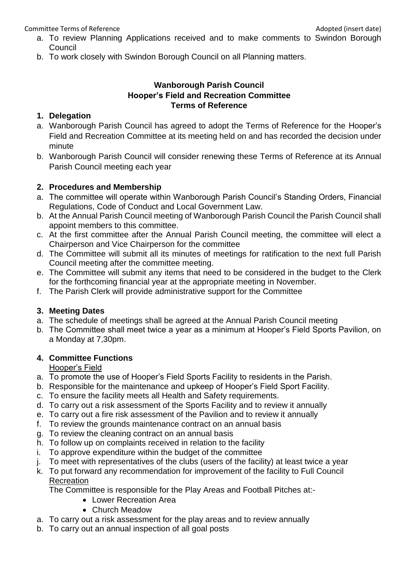Committee Terms of Reference **Adopted** (insert date) and the Adopted (insert date)

- a. To review Planning Applications received and to make comments to Swindon Borough Council
- b. To work closely with Swindon Borough Council on all Planning matters.

# **Wanborough Parish Council Hooper's Field and Recreation Committee Terms of Reference**

# **1. Delegation**

- a. Wanborough Parish Council has agreed to adopt the Terms of Reference for the Hooper's Field and Recreation Committee at its meeting held on and has recorded the decision under minute
- b. Wanborough Parish Council will consider renewing these Terms of Reference at its Annual Parish Council meeting each year

# **2. Procedures and Membership**

- a. The committee will operate within Wanborough Parish Council's Standing Orders, Financial Regulations, Code of Conduct and Local Government Law.
- b. At the Annual Parish Council meeting of Wanborough Parish Council the Parish Council shall appoint members to this committee.
- c. At the first committee after the Annual Parish Council meeting, the committee will elect a Chairperson and Vice Chairperson for the committee
- d. The Committee will submit all its minutes of meetings for ratification to the next full Parish Council meeting after the committee meeting.
- e. The Committee will submit any items that need to be considered in the budget to the Clerk for the forthcoming financial year at the appropriate meeting in November.
- f. The Parish Clerk will provide administrative support for the Committee

# **3. Meeting Dates**

- a. The schedule of meetings shall be agreed at the Annual Parish Council meeting
- b. The Committee shall meet twice a year as a minimum at Hooper's Field Sports Pavilion, on a Monday at 7,30pm.

# **4. Committee Functions**

Hooper's Field

- a. To promote the use of Hooper's Field Sports Facility to residents in the Parish.
- b. Responsible for the maintenance and upkeep of Hooper's Field Sport Facility.
- c. To ensure the facility meets all Health and Safety requirements.
- d. To carry out a risk assessment of the Sports Facility and to review it annually
- e. To carry out a fire risk assessment of the Pavilion and to review it annually
- f. To review the grounds maintenance contract on an annual basis
- g. To review the cleaning contract on an annual basis
- h. To follow up on complaints received in relation to the facility
- i. To approve expenditure within the budget of the committee
- j. To meet with representatives of the clubs (users of the facility) at least twice a year
- k. To put forward any recommendation for improvement of the facility to Full Council Recreation

The Committee is responsible for the Play Areas and Football Pitches at:-

- Lower Recreation Area
- Church Meadow
- a. To carry out a risk assessment for the play areas and to review annually
- b. To carry out an annual inspection of all goal posts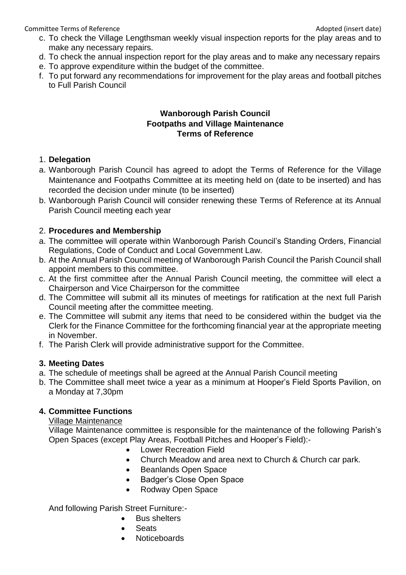Committee Terms of Reference **Adopted (insert date)** and the Adopted (insert date)

- c. To check the Village Lengthsman weekly visual inspection reports for the play areas and to make any necessary repairs.
- d. To check the annual inspection report for the play areas and to make any necessary repairs
- e. To approve expenditure within the budget of the committee.
- f. To put forward any recommendations for improvement for the play areas and football pitches to Full Parish Council

#### **Wanborough Parish Council Footpaths and Village Maintenance Terms of Reference**

#### 1. **Delegation**

- a. Wanborough Parish Council has agreed to adopt the Terms of Reference for the Village Maintenance and Footpaths Committee at its meeting held on (date to be inserted) and has recorded the decision under minute (to be inserted)
- b. Wanborough Parish Council will consider renewing these Terms of Reference at its Annual Parish Council meeting each year

#### 2. **Procedures and Membership**

- a. The committee will operate within Wanborough Parish Council's Standing Orders, Financial Regulations, Code of Conduct and Local Government Law.
- b. At the Annual Parish Council meeting of Wanborough Parish Council the Parish Council shall appoint members to this committee.
- c. At the first committee after the Annual Parish Council meeting, the committee will elect a Chairperson and Vice Chairperson for the committee
- d. The Committee will submit all its minutes of meetings for ratification at the next full Parish Council meeting after the committee meeting.
- e. The Committee will submit any items that need to be considered within the budget via the Clerk for the Finance Committee for the forthcoming financial year at the appropriate meeting in November.
- f. The Parish Clerk will provide administrative support for the Committee.

# **3. Meeting Dates**

- a. The schedule of meetings shall be agreed at the Annual Parish Council meeting
- b. The Committee shall meet twice a year as a minimum at Hooper's Field Sports Pavilion, on a Monday at 7,30pm

# **4. Committee Functions**

#### Village Maintenance

Village Maintenance committee is responsible for the maintenance of the following Parish's Open Spaces (except Play Areas, Football Pitches and Hooper's Field):-

- Lower Recreation Field
- Church Meadow and area next to Church & Church car park.
- Beanlands Open Space
- Badger's Close Open Space
- Rodway Open Space

And following Parish Street Furniture:-

- Bus shelters
- Seats
- **Noticeboards**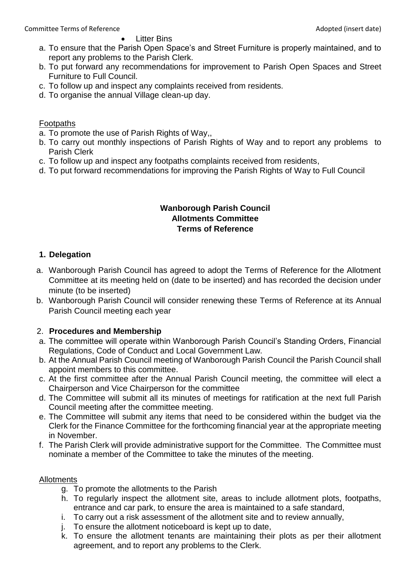Litter Bins

- a. To ensure that the Parish Open Space's and Street Furniture is properly maintained, and to report any problems to the Parish Clerk.
- b. To put forward any recommendations for improvement to Parish Open Spaces and Street Furniture to Full Council.
- c. To follow up and inspect any complaints received from residents.
- d. To organise the annual Village clean-up day.

# Footpaths

- a. To promote the use of Parish Rights of Way,,
- b. To carry out monthly inspections of Parish Rights of Way and to report any problems to Parish Clerk
- c. To follow up and inspect any footpaths complaints received from residents,
- d. To put forward recommendations for improving the Parish Rights of Way to Full Council

#### **Wanborough Parish Council Allotments Committee Terms of Reference**

# **1. Delegation**

- a. Wanborough Parish Council has agreed to adopt the Terms of Reference for the Allotment Committee at its meeting held on (date to be inserted) and has recorded the decision under minute (to be inserted)
- b. Wanborough Parish Council will consider renewing these Terms of Reference at its Annual Parish Council meeting each year

# 2. **Procedures and Membership**

- a. The committee will operate within Wanborough Parish Council's Standing Orders, Financial Regulations, Code of Conduct and Local Government Law.
- b. At the Annual Parish Council meeting of Wanborough Parish Council the Parish Council shall appoint members to this committee.
- c. At the first committee after the Annual Parish Council meeting, the committee will elect a Chairperson and Vice Chairperson for the committee
- d. The Committee will submit all its minutes of meetings for ratification at the next full Parish Council meeting after the committee meeting.
- e. The Committee will submit any items that need to be considered within the budget via the Clerk for the Finance Committee for the forthcoming financial year at the appropriate meeting in November.
- f. The Parish Clerk will provide administrative support for the Committee. The Committee must nominate a member of the Committee to take the minutes of the meeting.

# Allotments

- g. To promote the allotments to the Parish
- h. To regularly inspect the allotment site, areas to include allotment plots, footpaths, entrance and car park, to ensure the area is maintained to a safe standard,
- i. To carry out a risk assessment of the allotment site and to review annually,
- j. To ensure the allotment noticeboard is kept up to date,
- k. To ensure the allotment tenants are maintaining their plots as per their allotment agreement, and to report any problems to the Clerk.